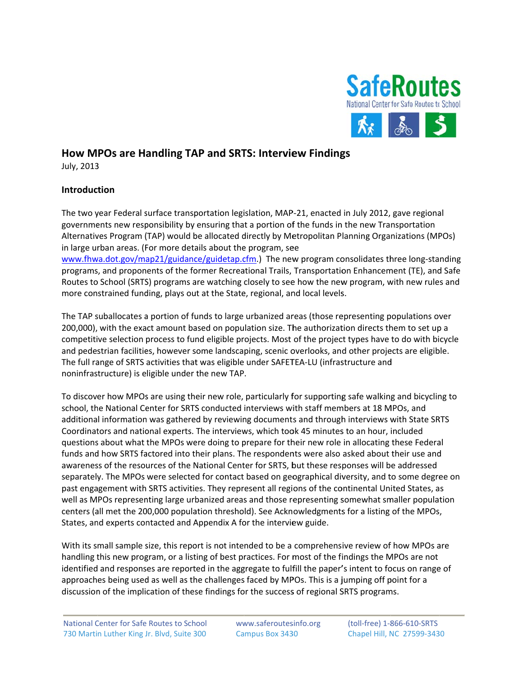

# **How MPOs are Handling TAP and SRTS: Interview Findings**

July, 2013 3

# **Introduc tion**

The two year Federal surface transportation legislation, MAP-21, enacted in July 2012, gave regional governments new responsibility by ensuring that a portion of the funds in the new Transportation Alternatives Program (TAP) would be allocated directly by Metropolitan Planning Organizations (MPOs) in large urban areas. (For more details about the program, see www.fhwa.dot.gov/map21/guidance/guidetap.cfm.) The new program consolidates three long-standing programs, and proponents of the former Recreational Trails, Transportation Enhancement (TE), and Safe Routes to School (SRTS) programs are watching closely to see how the new program, with new rules and more constrained funding, plays out at the State, regional, and local levels.

The TAP suballocates a portion of funds to large urbanized areas (those representing populations over 200,000), with the exact amount based on population size. The authorization directs them to set up a competitive selection process to fund eligible projects. Most of the project types have to do with bicycle and pedestrian facilities, however some landscaping, scenic overlooks, and other projects are eligible. The full range of SRTS activities that was eligible under SAFETEA-LU (infrastructure and noninfras tructure) is e ligible under the new TAP . The full range of SRTS activities that was eligible under SAFETEA-LU (infrastructure and<br>noninfrastructure) is eligible under the new TAP.<br>To discover how MPOs are using their new role, particularly for supporting safe wal

school, the National Center for SRTS conducted interviews with staff members at 18 MPOs, and additional information was gathered by reviewing documents and through interviews with State SRTS Coordinators and national experts. The interviews, which took 45 minutes to an hour, included questions about what the MPOs were doing to prepare for their new role in allocating these Federal funds and how SRTS factored into their plans. The respondents were also asked about their use and awareness of the resources of the National Center for SRTS, but these responses will be addressed funds and how SRTS factored into their plans. The respondents were also asked about their use and<br>awareness of the resources of the National Center for SRTS, but these responses will be addressed<br>separately. The MPOs were past engagement with SRTS activities. They represent all regions of the continental United States, as well as MPOs representing large urbanized areas and those representing somewhat smaller population centers (all met the 200,000 population threshold). See Acknowledgments for a listing of the MPOs, States, and experts contacted and Appendix A for the interview guide.

With its small sample size, this report is not intended to be a comprehensive review of how MPOs are handling this new program, or a listing of best practices. For most of the findings the MPOs are not identified and responses are reported in the aggregate to fulfill the paper's intent to focus on range of approaches being used as well as the challenges faced by MPOs. This is a jumping off point for a discussion of the implication of these findings for the success of regional SRTS programs.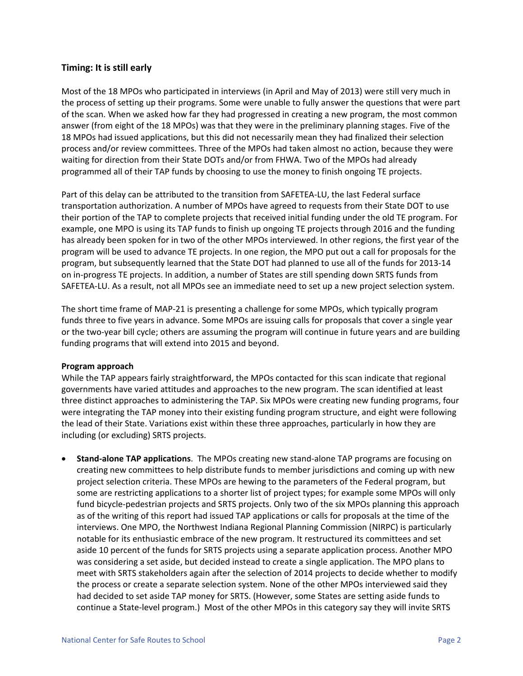## **Timing: It is still early**

Most of the 18 MPOs who participated in interviews (in April and May of 2013) were still very much in the process of setting up their programs. Some were unable to fully answer the questions that were part of the scan. When we asked how far they had progressed in creating a new program, the most common answer (from eight of the 18 MPOs) was that they were in the preliminary planning stages. Five of the 18 MPOs had issued applications, but this did not necessarily mean they had finalized their selection process and/or review committees. Three of the MPOs had taken almost no action, because they were waiting for direction from their State DOTs and/or from FHWA. Two of the MPOs had already programmed all of their TAP funds by choosing to use the money to finish ongoing TE projects.

Part of this delay can be attributed to the transition from SAFETEA‐LU, the last Federal surface transportation authorization. A number of MPOs have agreed to requests from their State DOT to use their portion of the TAP to complete projects that received initial funding under the old TE program. For example, one MPO is using its TAP funds to finish up ongoing TE projects through 2016 and the funding has already been spoken for in two of the other MPOs interviewed. In other regions, the first year of the program will be used to advance TE projects. In one region, the MPO put out a call for proposals for the program, but subsequently learned that the State DOT had planned to use all of the funds for 2013‐14 on in‐progress TE projects. In addition, a number of States are still spending down SRTS funds from SAFETEA‐LU. As a result, not all MPOs see an immediate need to set up a new project selection system.

The short time frame of MAP‐21 is presenting a challenge for some MPOs, which typically program funds three to five years in advance. Some MPOs are issuing calls for proposals that cover a single year or the two‐year bill cycle; others are assuming the program will continue in future years and are building funding programs that will extend into 2015 and beyond.

## **Program approach**

While the TAP appears fairly straightforward, the MPOs contacted for this scan indicate that regional governments have varied attitudes and approaches to the new program. The scan identified at least three distinct approaches to administering the TAP. Six MPOs were creating new funding programs, four were integrating the TAP money into their existing funding program structure, and eight were following the lead of their State. Variations exist within these three approaches, particularly in how they are including (or excluding) SRTS projects.

• **Stand‐alone TAP applications**. The MPOs creating new stand‐alone TAP programs are focusing on creating new committees to help distribute funds to member jurisdictions and coming up with new project selection criteria. These MPOs are hewing to the parameters of the Federal program, but some are restricting applications to a shorter list of project types; for example some MPOs will only fund bicycle‐pedestrian projects and SRTS projects. Only two of the six MPOs planning this approach as of the writing of this report had issued TAP applications or calls for proposals at the time of the interviews. One MPO, the Northwest Indiana Regional Planning Commission (NIRPC) is particularly notable for its enthusiastic embrace of the new program. It restructured its committees and set aside 10 percent of the funds for SRTS projects using a separate application process. Another MPO was considering a set aside, but decided instead to create a single application. The MPO plans to meet with SRTS stakeholders again after the selection of 2014 projects to decide whether to modify the process or create a separate selection system. None of the other MPOs interviewed said they had decided to set aside TAP money for SRTS. (However, some States are setting aside funds to continue a State‐level program.) Most of the other MPOs in this category say they will invite SRTS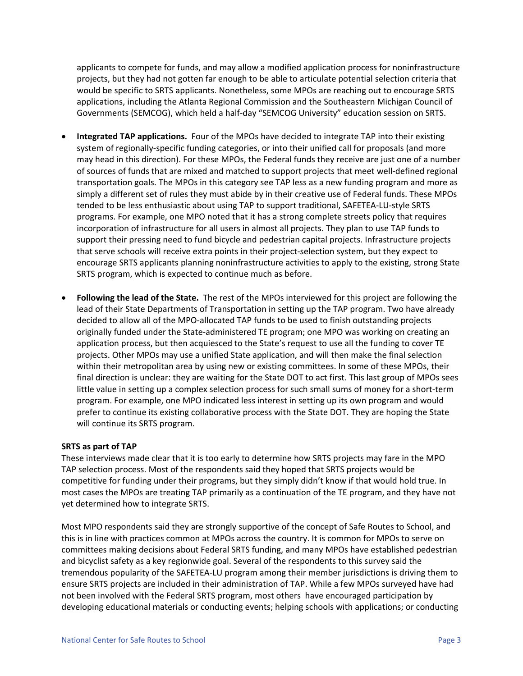applicants to compete for funds, and may allow a modified application process for noninfrastructure projects, but they had not gotten far enough to be able to articulate potential selection criteria that would be specific to SRTS applicants. Nonetheless, some MPOs are reaching out to encourage SRTS applications, including the Atlanta Regional Commission and the Southeastern Michigan Council of Governments (SEMCOG), which held a half‐day "SEMCOG University" education session on SRTS.

- **Integrated TAP applications.** Four of the MPOs have decided to integrate TAP into their existing system of regionally‐specific funding categories, or into their unified call for proposals (and more may head in this direction). For these MPOs, the Federal funds they receive are just one of a number of sources of funds that are mixed and matched to support projects that meet well‐defined regional transportation goals. The MPOs in this category see TAP less as a new funding program and more as simply a different set of rules they must abide by in their creative use of Federal funds. These MPOs tended to be less enthusiastic about using TAP to support traditional, SAFETEA‐LU‐style SRTS programs. For example, one MPO noted that it has a strong complete streets policy that requires incorporation of infrastructure for all users in almost all projects. They plan to use TAP funds to support their pressing need to fund bicycle and pedestrian capital projects. Infrastructure projects that serve schools will receive extra points in their project‐selection system, but they expect to encourage SRTS applicants planning noninfrastructure activities to apply to the existing, strong State SRTS program, which is expected to continue much as before.
- **Following the lead of the State.** The rest of the MPOs interviewed for this project are following the lead of their State Departments of Transportation in setting up the TAP program. Two have already decided to allow all of the MPO‐allocated TAP funds to be used to finish outstanding projects originally funded under the State‐administered TE program; one MPO was working on creating an application process, but then acquiesced to the State's request to use all the funding to cover TE projects. Other MPOs may use a unified State application, and will then make the final selection within their metropolitan area by using new or existing committees. In some of these MPOs, their final direction is unclear: they are waiting for the State DOT to act first. This last group of MPOs sees little value in setting up a complex selection process for such small sums of money for a short‐term program. For example, one MPO indicated less interest in setting up its own program and would prefer to continue its existing collaborative process with the State DOT. They are hoping the State will continue its SRTS program.

## **SRTS as part of TAP**

These interviews made clear that it is too early to determine how SRTS projects may fare in the MPO TAP selection process. Most of the respondents said they hoped that SRTS projects would be competitive for funding under their programs, but they simply didn't know if that would hold true. In most cases the MPOs are treating TAP primarily as a continuation of the TE program, and they have not yet determined how to integrate SRTS.

Most MPO respondents said they are strongly supportive of the concept of Safe Routes to School, and this is in line with practices common at MPOs across the country. It is common for MPOs to serve on committees making decisions about Federal SRTS funding, and many MPOs have established pedestrian and bicyclist safety as a key regionwide goal. Several of the respondents to this survey said the tremendous popularity of the SAFETEA‐LU program among their member jurisdictions is driving them to ensure SRTS projects are included in their administration of TAP. While a few MPOs surveyed have had not been involved with the Federal SRTS program, most others have encouraged participation by developing educational materials or conducting events; helping schools with applications; or conducting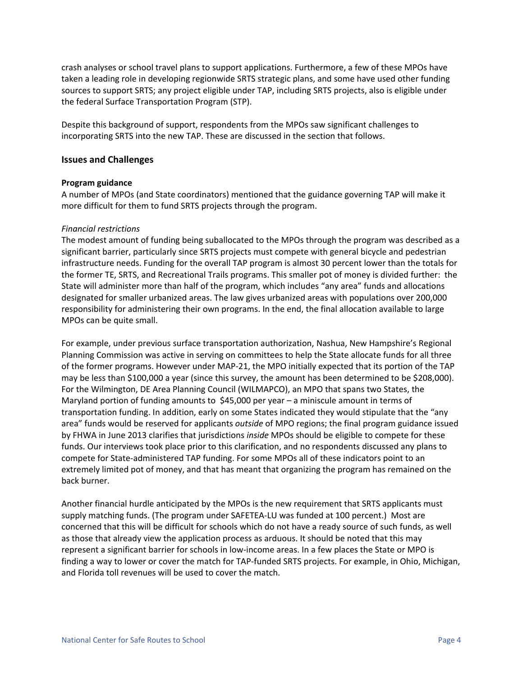crash analyses or school travel plans to support applications. Furthermore, a few of these MPOs have taken a leading role in developing regionwide SRTS strategic plans, and some have used other funding sources to support SRTS; any project eligible under TAP, including SRTS projects, also is eligible under the federal Surface Transportation Program (STP).

Despite this background of support, respondents from the MPOs saw significant challenges to incorporating SRTS into the new TAP. These are discussed in the section that follows.

## **Issues and Challenges**

#### **Program guidance**

A number of MPOs (and State coordinators) mentioned that the guidance governing TAP will make it more difficult for them to fund SRTS projects through the program.

## *Financial restrictions*

The modest amount of funding being suballocated to the MPOs through the program was described as a significant barrier, particularly since SRTS projects must compete with general bicycle and pedestrian infrastructure needs. Funding for the overall TAP program is almost 30 percent lower than the totals for the former TE, SRTS, and Recreational Trails programs. This smaller pot of money is divided further: the State will administer more than half of the program, which includes "any area" funds and allocations designated for smaller urbanized areas. The law gives urbanized areas with populations over 200,000 responsibility for administering their own programs. In the end, the final allocation available to large MPOs can be quite small.

For example, under previous surface transportation authorization, Nashua, New Hampshire's Regional Planning Commission was active in serving on committees to help the State allocate funds for all three of the former programs. However under MAP‐21, the MPO initially expected that its portion of the TAP may be less than \$100,000 a year (since this survey, the amount has been determined to be \$208,000). For the Wilmington, DE Area Planning Council (WILMAPCO), an MPO that spans two States, the Maryland portion of funding amounts to  $\frac{1}{2}45,000$  per year – a miniscule amount in terms of transportation funding. In addition, early on some States indicated they would stipulate that the "any area" funds would be reserved for applicants *outside* of MPO regions; the final program guidance issued by FHWA in June 2013 clarifies that jurisdictions *inside* MPOs should be eligible to compete for these funds. Our interviews took place prior to this clarification, and no respondents discussed any plans to compete for State‐administered TAP funding. For some MPOs all of these indicators point to an extremely limited pot of money, and that has meant that organizing the program has remained on the back burner.

Another financial hurdle anticipated by the MPOs is the new requirement that SRTS applicants must supply matching funds. (The program under SAFETEA‐LU was funded at 100 percent.) Most are concerned that this will be difficult for schools which do not have a ready source of such funds, as well as those that already view the application process as arduous. It should be noted that this may represent a significant barrier for schools in low-income areas. In a few places the State or MPO is finding a way to lower or cover the match for TAP‐funded SRTS projects. For example, in Ohio, Michigan, and Florida toll revenues will be used to cover the match.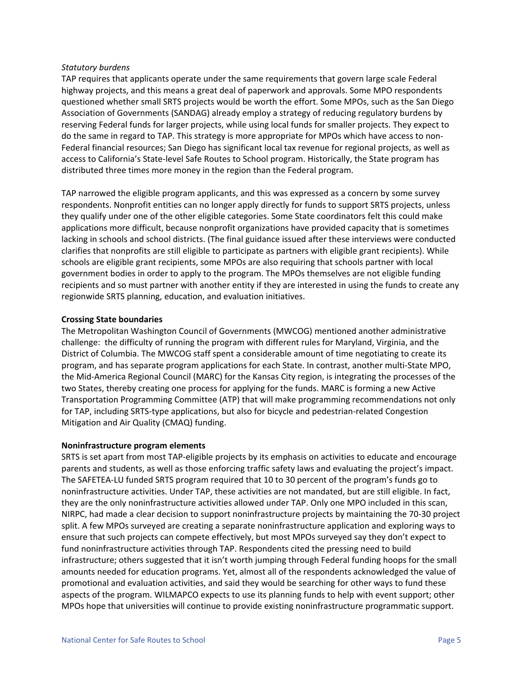## *Statutory burdens*

TAP requires that applicants operate under the same requirements that govern large scale Federal highway projects, and this means a great deal of paperwork and approvals. Some MPO respondents questioned whether small SRTS projects would be worth the effort. Some MPOs, such as the San Diego Association of Governments (SANDAG) already employ a strategy of reducing regulatory burdens by reserving Federal funds for larger projects, while using local funds for smaller projects. They expect to do the same in regard to TAP. This strategy is more appropriate for MPOs which have access to non‐ Federal financial resources; San Diego has significant local tax revenue for regional projects, as well as access to California's State‐level Safe Routes to School program. Historically, the State program has distributed three times more money in the region than the Federal program.

TAP narrowed the eligible program applicants, and this was expressed as a concern by some survey respondents. Nonprofit entities can no longer apply directly for funds to support SRTS projects, unless they qualify under one of the other eligible categories. Some State coordinators felt this could make applications more difficult, because nonprofit organizations have provided capacity that is sometimes lacking in schools and school districts. (The final guidance issued after these interviews were conducted clarifies that nonprofits are still eligible to participate as partners with eligible grant recipients). While schools are eligible grant recipients, some MPOs are also requiring that schools partner with local government bodies in order to apply to the program. The MPOs themselves are not eligible funding recipients and so must partner with another entity if they are interested in using the funds to create any regionwide SRTS planning, education, and evaluation initiatives.

## **Crossing State boundaries**

The Metropolitan Washington Council of Governments (MWCOG) mentioned another administrative challenge: the difficulty of running the program with different rules for Maryland, Virginia, and the District of Columbia. The MWCOG staff spent a considerable amount of time negotiating to create its program, and has separate program applications for each State. In contrast, another multi‐State MPO, the Mid‐America Regional Council (MARC) for the Kansas City region, is integrating the processes of the two States, thereby creating one process for applying for the funds. MARC is forming a new Active Transportation Programming Committee (ATP) that will make programming recommendations not only for TAP, including SRTS‐type applications, but also for bicycle and pedestrian‐related Congestion Mitigation and Air Quality (CMAQ) funding.

## **Noninfrastructure program elements**

SRTS is set apart from most TAP‐eligible projects by its emphasis on activities to educate and encourage parents and students, as well as those enforcing traffic safety laws and evaluating the project's impact. The SAFETEA‐LU funded SRTS program required that 10 to 30 percent of the program's funds go to noninfrastructure activities. Under TAP, these activities are not mandated, but are still eligible. In fact, they are the only noninfrastructure activities allowed under TAP. Only one MPO included in this scan, NIRPC, had made a clear decision to support noninfrastructure projects by maintaining the 70‐30 project split. A few MPOs surveyed are creating a separate noninfrastructure application and exploring ways to ensure that such projects can compete effectively, but most MPOs surveyed say they don't expect to fund noninfrastructure activities through TAP. Respondents cited the pressing need to build infrastructure; others suggested that it isn't worth jumping through Federal funding hoops for the small amounts needed for education programs. Yet, almost all of the respondents acknowledged the value of promotional and evaluation activities, and said they would be searching for other ways to fund these aspects of the program. WILMAPCO expects to use its planning funds to help with event support; other MPOs hope that universities will continue to provide existing noninfrastructure programmatic support.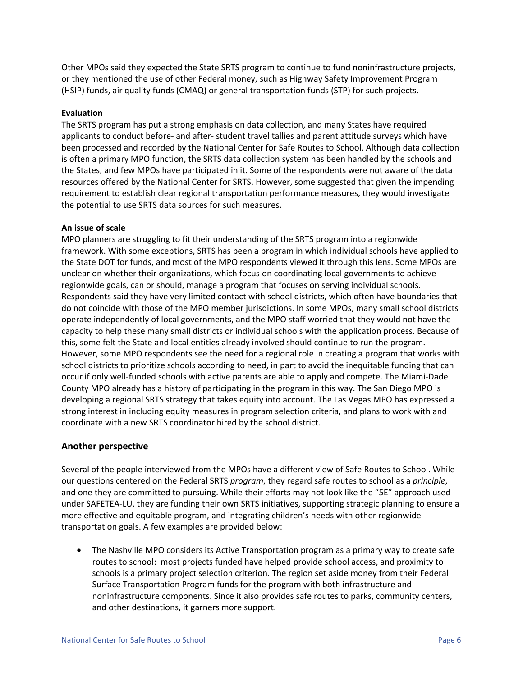Other MPOs said they expected the State SRTS program to continue to fund noninfrastructure projects, or they mentioned the use of other Federal money, such as Highway Safety Improvement Program (HSIP) funds, air quality funds (CMAQ) or general transportation funds (STP) for such projects.

#### **Evaluation**

The SRTS program has put a strong emphasis on data collection, and many States have required applicants to conduct before‐ and after‐ student travel tallies and parent attitude surveys which have been processed and recorded by the National Center for Safe Routes to School. Although data collection is often a primary MPO function, the SRTS data collection system has been handled by the schools and the States, and few MPOs have participated in it. Some of the respondents were not aware of the data resources offered by the National Center for SRTS. However, some suggested that given the impending requirement to establish clear regional transportation performance measures, they would investigate the potential to use SRTS data sources for such measures.

#### **An issue of scale**

MPO planners are struggling to fit their understanding of the SRTS program into a regionwide framework. With some exceptions, SRTS has been a program in which individual schools have applied to the State DOT for funds, and most of the MPO respondents viewed it through this lens. Some MPOs are unclear on whether their organizations, which focus on coordinating local governments to achieve regionwide goals, can or should, manage a program that focuses on serving individual schools. Respondents said they have very limited contact with school districts, which often have boundaries that do not coincide with those of the MPO member jurisdictions. In some MPOs, many small school districts operate independently of local governments, and the MPO staff worried that they would not have the capacity to help these many small districts or individual schools with the application process. Because of this, some felt the State and local entities already involved should continue to run the program. However, some MPO respondents see the need for a regional role in creating a program that works with school districts to prioritize schools according to need, in part to avoid the inequitable funding that can occur if only well‐funded schools with active parents are able to apply and compete. The Miami‐Dade County MPO already has a history of participating in the program in this way. The San Diego MPO is developing a regional SRTS strategy that takes equity into account. The Las Vegas MPO has expressed a strong interest in including equity measures in program selection criteria, and plans to work with and coordinate with a new SRTS coordinator hired by the school district.

#### **Another perspective**

Several of the people interviewed from the MPOs have a different view of Safe Routes to School. While our questions centered on the Federal SRTS *program*, they regard safe routes to school as a *principle*, and one they are committed to pursuing. While their efforts may not look like the "5E" approach used under SAFETEA‐LU, they are funding their own SRTS initiatives, supporting strategic planning to ensure a more effective and equitable program, and integrating children's needs with other regionwide transportation goals. A few examples are provided below:

• The Nashville MPO considers its Active Transportation program as a primary way to create safe routes to school: most projects funded have helped provide school access, and proximity to schools is a primary project selection criterion. The region set aside money from their Federal Surface Transportation Program funds for the program with both infrastructure and noninfrastructure components. Since it also provides safe routes to parks, community centers, and other destinations, it garners more support.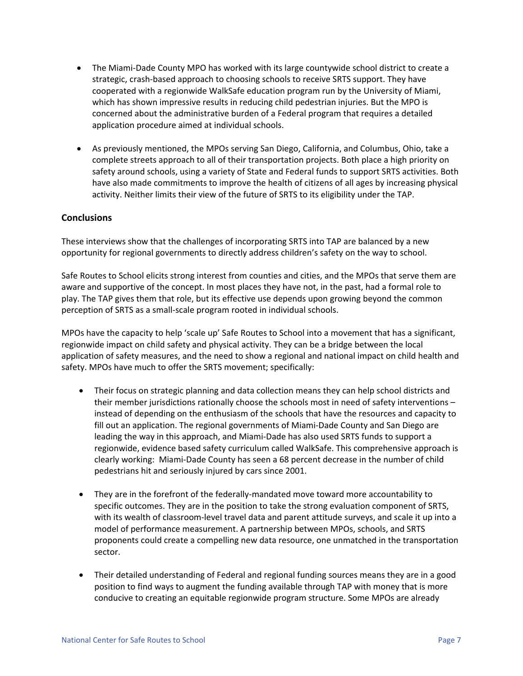- The Miami-Dade County MPO has worked with its large countywide school district to create a strategic, crash-based approach to choosing schools to receive SRTS support. They have cooperated with a regionwide WalkSafe education program run by the University of Miami, which has shown impressive results in reducing child pedestrian injuries. But the MPO is concerned about the administrative burden of a Federal program that requires a detailed application procedure aimed at individual schools.
- As previously mentioned, the MPOs serving San Diego, California, and Columbus, Ohio, take a complete streets approach to all of their transportation projects. Both place a high priority on safety around schools, using a variety of State and Federal funds to support SRTS activities. Both have also made commitments to improve the health of citizens of all ages by increasing physical activity. Neither limits their view of the future of SRTS to its eligibility under the TAP.

## **Conclusions**

These interviews show that the challenges of incorporating SRTS into TAP are balanced by a new opportunity for regional governments to directly address children's safety on the way to school.

Safe Routes to School elicits strong interest from counties and cities, and the MPOs that serve them are aware and supportive of the concept. In most places they have not, in the past, had a formal role to play. The TAP gives them that role, but its effective use depends upon growing beyond the common perception of SRTS as a small‐scale program rooted in individual schools.

MPOs have the capacity to help 'scale up' Safe Routes to School into a movement that has a significant, regionwide impact on child safety and physical activity. They can be a bridge between the local application of safety measures, and the need to show a regional and national impact on child health and safety. MPOs have much to offer the SRTS movement; specifically:

- Their focus on strategic planning and data collection means they can help school districts and their member jurisdictions rationally choose the schools most in need of safety interventions – instead of depending on the enthusiasm of the schools that have the resources and capacity to fill out an application. The regional governments of Miami‐Dade County and San Diego are leading the way in this approach, and Miami‐Dade has also used SRTS funds to support a regionwide, evidence based safety curriculum called WalkSafe. This comprehensive approach is clearly working: Miami‐Dade County has seen a 68 percent decrease in the number of child pedestrians hit and seriously injured by cars since 2001.
- They are in the forefront of the federally-mandated move toward more accountability to specific outcomes. They are in the position to take the strong evaluation component of SRTS, with its wealth of classroom‐level travel data and parent attitude surveys, and scale it up into a model of performance measurement. A partnership between MPOs, schools, and SRTS proponents could create a compelling new data resource, one unmatched in the transportation sector.
- Their detailed understanding of Federal and regional funding sources means they are in a good position to find ways to augment the funding available through TAP with money that is more conducive to creating an equitable regionwide program structure. Some MPOs are already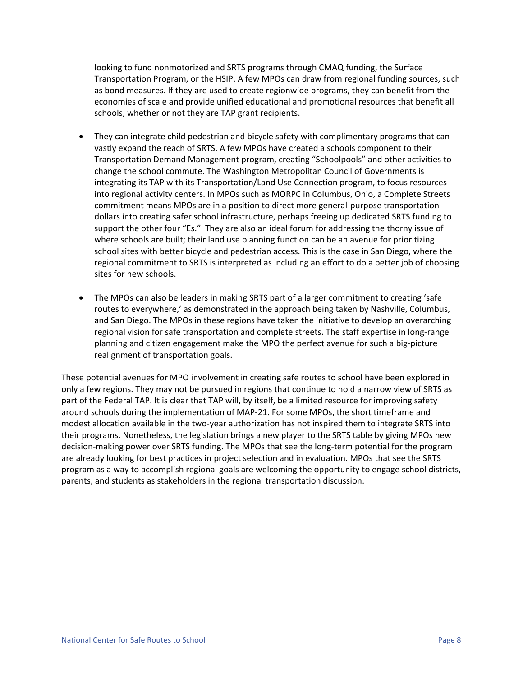looking to fund nonmotorized and SRTS programs through CMAQ funding, the Surface Transportation Program, or the HSIP. A few MPOs can draw from regional funding sources, such as bond measures. If they are used to create regionwide programs, they can benefit from the economies of scale and provide unified educational and promotional resources that benefit all schools, whether or not they are TAP grant recipients.

- They can integrate child pedestrian and bicycle safety with complimentary programs that can vastly expand the reach of SRTS. A few MPOs have created a schools component to their Transportation Demand Management program, creating "Schoolpools" and other activities to change the school commute. The Washington Metropolitan Council of Governments is integrating its TAP with its Transportation/Land Use Connection program, to focus resources into regional activity centers. In MPOs such as MORPC in Columbus, Ohio, a Complete Streets commitment means MPOs are in a position to direct more general‐purpose transportation dollars into creating safer school infrastructure, perhaps freeing up dedicated SRTS funding to support the other four "Es." They are also an ideal forum for addressing the thorny issue of where schools are built; their land use planning function can be an avenue for prioritizing school sites with better bicycle and pedestrian access. This is the case in San Diego, where the regional commitment to SRTS is interpreted as including an effort to do a better job of choosing sites for new schools.
- The MPOs can also be leaders in making SRTS part of a larger commitment to creating 'safe routes to everywhere,' as demonstrated in the approach being taken by Nashville, Columbus, and San Diego. The MPOs in these regions have taken the initiative to develop an overarching regional vision for safe transportation and complete streets. The staff expertise in long-range planning and citizen engagement make the MPO the perfect avenue for such a big‐picture realignment of transportation goals.

These potential avenues for MPO involvement in creating safe routes to school have been explored in only a few regions. They may not be pursued in regions that continue to hold a narrow view of SRTS as part of the Federal TAP. It is clear that TAP will, by itself, be a limited resource for improving safety around schools during the implementation of MAP‐21. For some MPOs, the short timeframe and modest allocation available in the two-year authorization has not inspired them to integrate SRTS into their programs. Nonetheless, the legislation brings a new player to the SRTS table by giving MPOs new decision-making power over SRTS funding. The MPOs that see the long-term potential for the program are already looking for best practices in project selection and in evaluation. MPOs that see the SRTS program as a way to accomplish regional goals are welcoming the opportunity to engage school districts, parents, and students as stakeholders in the regional transportation discussion.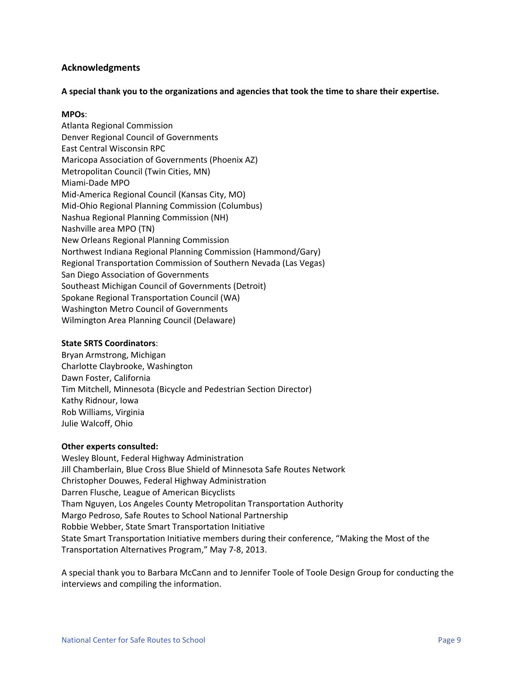## **Acknowledgments**

**A special thank you to the organizations and agencies that took the time to share their expertise.**

## **MPOs**:

Atlanta Regional Commission Denver Regional Council of Governments East Central Wisconsin RPC Maricopa Association of Governments (Phoenix AZ) Metropolitan Council (Twin Cities, MN) Miami‐Dade MPO Mid‐America Regional Council (Kansas City, MO) Mid‐Ohio Regional Planning Commission (Columbus) Nashua Regional Planning Commission (NH) Nashville area MPO (TN) New Orleans Regional Planning Commission Northwest Indiana Regional Planning Commission (Hammond/Gary) Regional Transportation Commission of Southern Nevada (Las Vegas) San Diego Association of Governments Southeast Michigan Council of Governments (Detroit) Spokane Regional Transportation Council (WA) Washington Metro Council of Governments Wilmington Area Planning Council (Delaware)

#### **State SRTS Coordinators**:

Bryan Armstrong, Michigan Charlotte Claybrooke, Washington Dawn Foster, California Tim Mitchell, Minnesota (Bicycle and Pedestrian Section Director) Kathy Ridnour, Iowa Rob Williams, Virginia Julie Walcoff, Ohio

## **Other experts consulted:**

Wesley Blount, Federal Highway Administration Jill Chamberlain, Blue Cross Blue Shield of Minnesota Safe Routes Network Christopher Douwes, Federal Highway Administration Darren Flusche, League of American Bicyclists Tham Nguyen, Los Angeles County Metropolitan Transportation Authority Margo Pedroso, Safe Routes to School National Partnership Robbie Webber, State Smart Transportation Initiative State Smart Transportation Initiative members during their conference, "Making the Most of the Transportation Alternatives Program," May 7‐8, 2013.

A special thank you to Barbara McCann and to Jennifer Toole of Toole Design Group for conducting the interviews and compiling the information.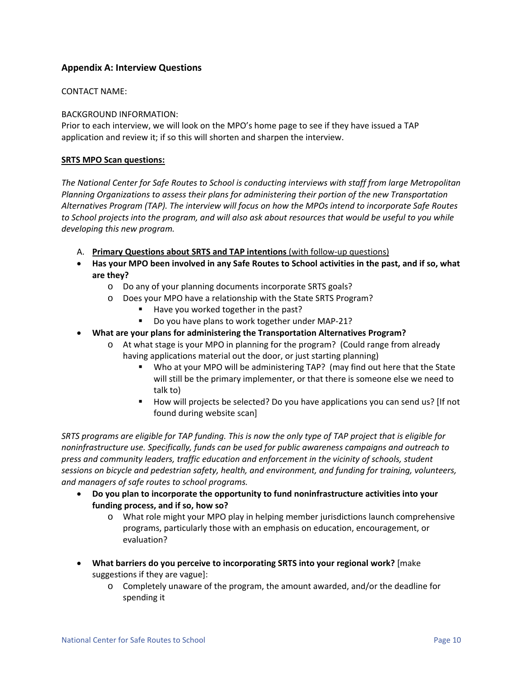# **Appendix A: Interview Questions**

## CONTACT NAME:

## BACKGROUND INFORMATION:

Prior to each interview, we will look on the MPO's home page to see if they have issued a TAP application and review it; if so this will shorten and sharpen the interview.

#### **SRTS MPO Scan questions:**

*The National Center for Safe Routes to School is conducting interviews with staff from large Metropolitan Planning Organizations to assess their plans for administering their portion of the new Transportation Alternatives Program (TAP). The interview will focus on how the MPOs intend to incorporate Safe Routes* to School projects into the program, and will also ask about resources that would be useful to you while *developing this new program.*

- A. **Primary Questions about SRTS and TAP intentions** (with follow‐up questions)
- Has your MPO been involved in any Safe Routes to School activities in the past, and if so, what **are they?**
	- o Do any of your planning documents incorporate SRTS goals?
	- o Does your MPO have a relationship with the State SRTS Program?
		- Have you worked together in the past?
		- Do you have plans to work together under MAP-21?
- **What are your plans for administering the Transportation Alternatives Program?**
	- o At what stage is your MPO in planning for the program? (Could range from already having applications material out the door, or just starting planning)
		- Who at your MPO will be administering TAP? (may find out here that the State will still be the primary implementer, or that there is someone else we need to talk to)
		- How will projects be selected? Do you have applications you can send us? [If not found during website scan]

SRTS programs are eligible for TAP funding. This is now the only type of TAP project that is eligible for *noninfrastructure use. Specifically, funds can be used for public awareness campaigns and outreach to press and community leaders, traffic education and enforcement in the vicinity of schools, student sessions on bicycle and pedestrian safety, health, and environment, and funding for training, volunteers, and managers of safe routes to school programs.*

- **Do you plan to incorporate the opportunity to fund noninfrastructure activities into your funding process, and if so, how so?** 
	- o What role might your MPO play in helping member jurisdictions launch comprehensive programs, particularly those with an emphasis on education, encouragement, or evaluation?
- **What barriers do you perceive to incorporating SRTS into your regional work?** [make suggestions if they are vague]:
	- o Completely unaware of the program, the amount awarded, and/or the deadline for spending it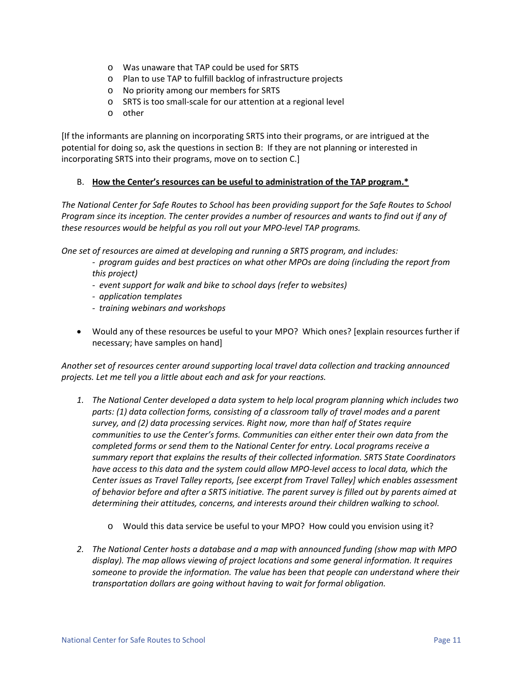- o Was unaware that TAP could be used for SRTS
- o Plan to use TAP to fulfill backlog of infrastructure projects
- o No priority among our members for SRTS
- o SRTS is too small‐scale for our attention at a regional level
- o other

[If the informants are planning on incorporating SRTS into their programs, or are intrigued at the potential for doing so, ask the questions in section B: If they are not planning or interested in incorporating SRTS into their programs, move on to section C.]

## B. **How the Center's resources can be useful to administration of the TAP program.\***

The National Center for Safe Routes to School has been providing support for the Safe Routes to School Program since its inception. The center provides a number of resources and wants to find out if any of *these resources would be helpful as you roll out your MPO‐level TAP programs.* 

*One set of resources are aimed at developing and running a SRTS program, and includes:*

- *‐ program guides and best practices on what other MPOs are doing (including the report from this project)*
- *‐ event support for walk and bike to school days (refer to websites)*
- *‐ application templates*
- *‐ training webinars and workshops*
- Would any of these resources be useful to your MPO? Which ones? [explain resources further if necessary; have samples on hand]

*Another set of resources center around supporting local travel data collection and tracking announced projects. Let me tell you a little about each and ask for your reactions.* 

- *1. The National Center developed a data system to help local program planning which includes two parts: (1) data collection forms, consisting of a classroom tally of travel modes and a parent survey, and (2) data processing services. Right now, more than half of States require communities to use the Center's forms. Communities can either enter their own data from the completed forms or send them to the National Center for entry. Local programs receive a summary report that explains the results of their collected information. SRTS State Coordinators* have access to this data and the system could allow MPO-level access to local data, which the *Center issues as Travel Talley reports, [see excerpt from Travel Talley] which enables assessment* of behavior before and after a SRTS initiative. The parent survey is filled out by parents aimed at *determining their attitudes, concerns, and interests around their children walking to school.* 
	- o Would this data service be useful to your MPO?How could you envision using it?
- *2. The National Center hosts a database and a map with announced funding (show map with MPO display). The map allows viewing of project locations and some general information. It requires someone to provide the information. The value has been that people can understand where their transportation dollars are going without having to wait for formal obligation.*